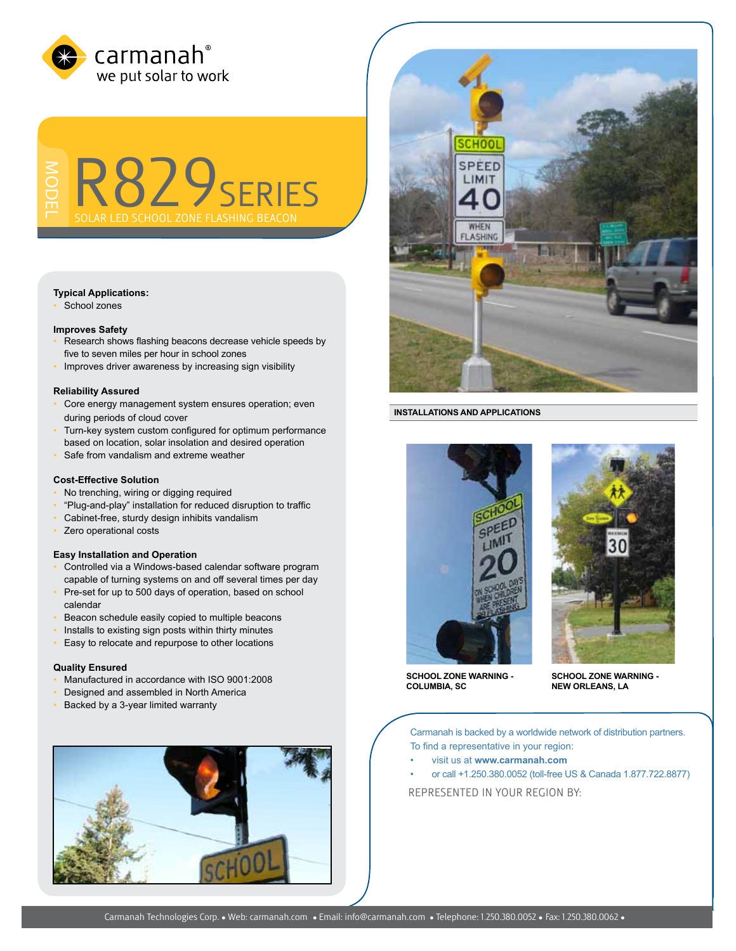

ModeL R829series

# **Typical Applications:**

School zones

## **Improves Safety**

- Research shows flashing beacons decrease vehicle speeds by five to seven miles per hour in school zones
- Improves driver awareness by increasing sign visibility

### **Reliability Assured**

- Core energy management system ensures operation; even during periods of cloud cover
- Turn-key system custom configured for optimum performance based on location, solar insolation and desired operation
- Safe from vandalism and extreme weather

## **Cost-Effective Solution**

- No trenching, wiring or digging required
- "Plug-and-play" installation for reduced disruption to traffic
- Cabinet-free, sturdy design inhibits vandalism
- Zero operational costs

## **Easy Installation and Operation**

- Controlled via a Windows-based calendar software program capable of turning systems on and off several times per day
- Pre-set for up to 500 days of operation, based on school calendar
- Beacon schedule easily copied to multiple beacons
- Installs to existing sign posts within thirty minutes
- Easy to relocate and repurpose to other locations

# **Quality Ensured**

- Manufactured in accordance with ISO 9001:2008
- Designed and assembled in North America
- Backed by a 3-year limited warranty





### **INSTALLATIONS AND APPLICATIONS**





**SCHOOL ZONE WARNING - COLUMBIA, SC**

**SCHOOL ZONE WARNING - NEW ORLEANS, LA**

Carmanah is backed by a worldwide network of distribution partners. To find a representative in your region:

- visit us at **www.carmanah.com**
- or call +1.250.380.0052 (toll-free US & Canada 1.877.722.8877)

REPRESENTED in your region BY: